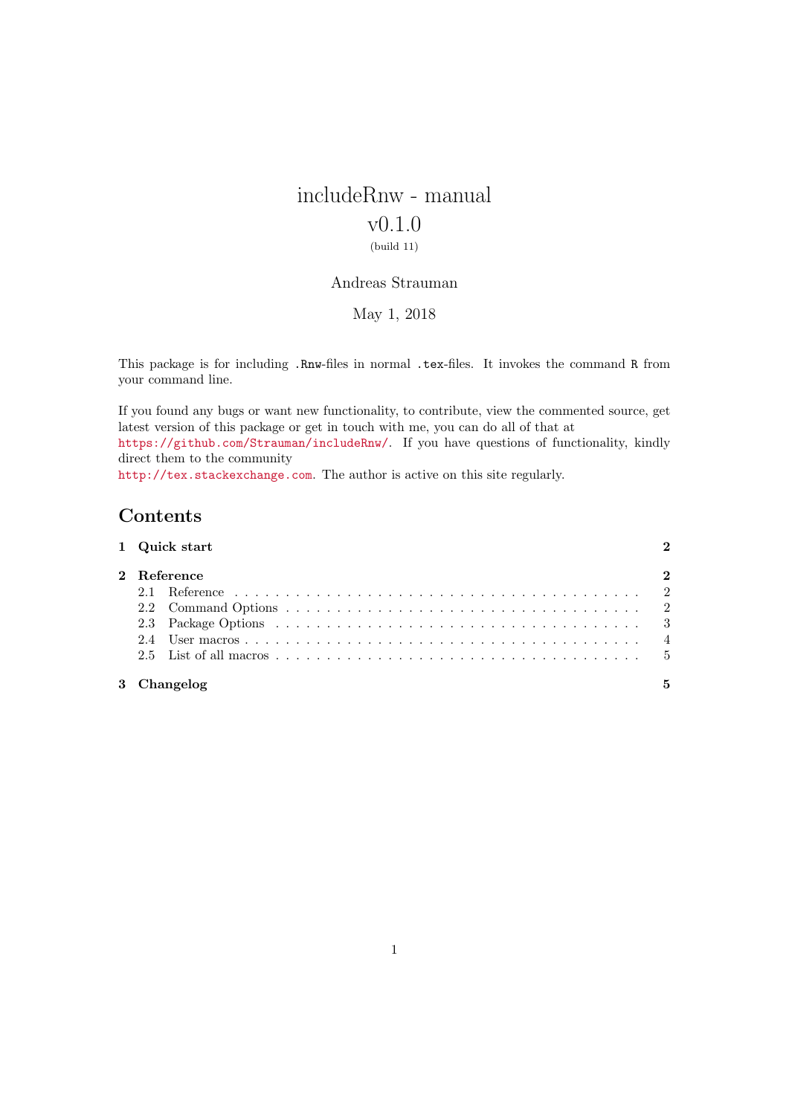# includeRnw - manual

## v0.1.0

#### (build 11)

## Andreas Strauman

## May 1, 2018

This package is for including .Rnw-files in normal .tex-files. It invokes the command R from your command line.

If you found any bugs or want new functionality, to contribute, view the commented source, get latest version of this package or get in touch with me, you can do all of that at <https://github.com/Strauman/includeRnw/>. If you have questions of functionality, kindly direct them to the community

<http://tex.stackexchange.com>. The author is active on this site regularly.

## Contents

| 1 Quick start |  |
|---------------|--|
| 2 Reference   |  |
|               |  |
|               |  |
|               |  |
|               |  |
|               |  |
| 3 Changelog   |  |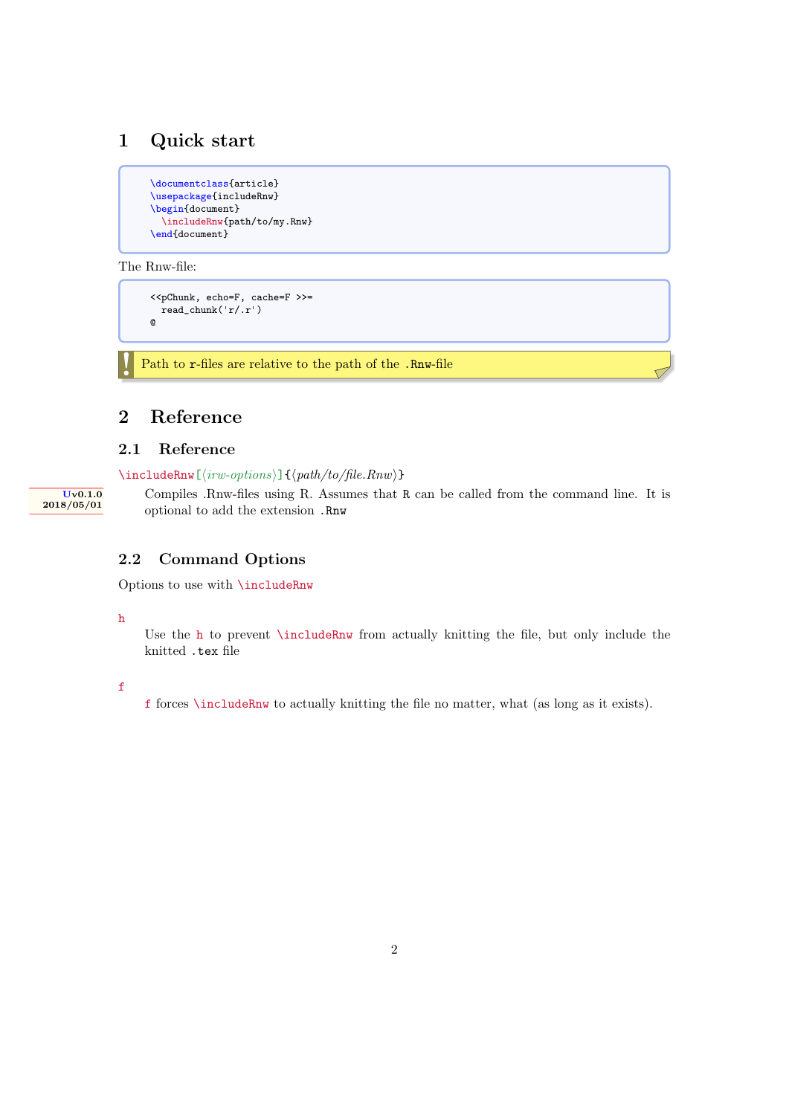## <span id="page-1-0"></span>1 Quick start

```
\documentclass{article}
\usepackage{includeRnw}
\begin{document}
  \includeRnw{path/to/my.Rnw}
\end{document}
```
#### The Rnw-file:

```
<<pChunk, echo=F, cache=F >>=
 read_chunk('r/.r')
@
```
<u>।</u> Path to r-files are relative to the path of the .Rnw-file

## <span id="page-1-1"></span>2 Reference

## <span id="page-1-2"></span>2.1 Reference

<span id="page-1-4"></span> $\in$ ludeRnw $[\langle irw\text{-}options \rangle] {\langle path/to/file.Rnw \rangle}$ 

Uv0.1.0 2018/05/01

Compiles .Rnw-files using R. Assumes that R can be called from the command line. It is optional to add the extension .Rnw

## <span id="page-1-3"></span>2.2 Command Options

Options to use with [\includeRnw](#page-1-4)

<span id="page-1-5"></span>h

Use the [h](#page-1-5) to prevent \includeRnw from actually knitting the file, but only include the knitted .tex file

<span id="page-1-6"></span>f

[f](#page-1-6) forces \includeRnw to actually knitting the file no matter, what (as long as it exists).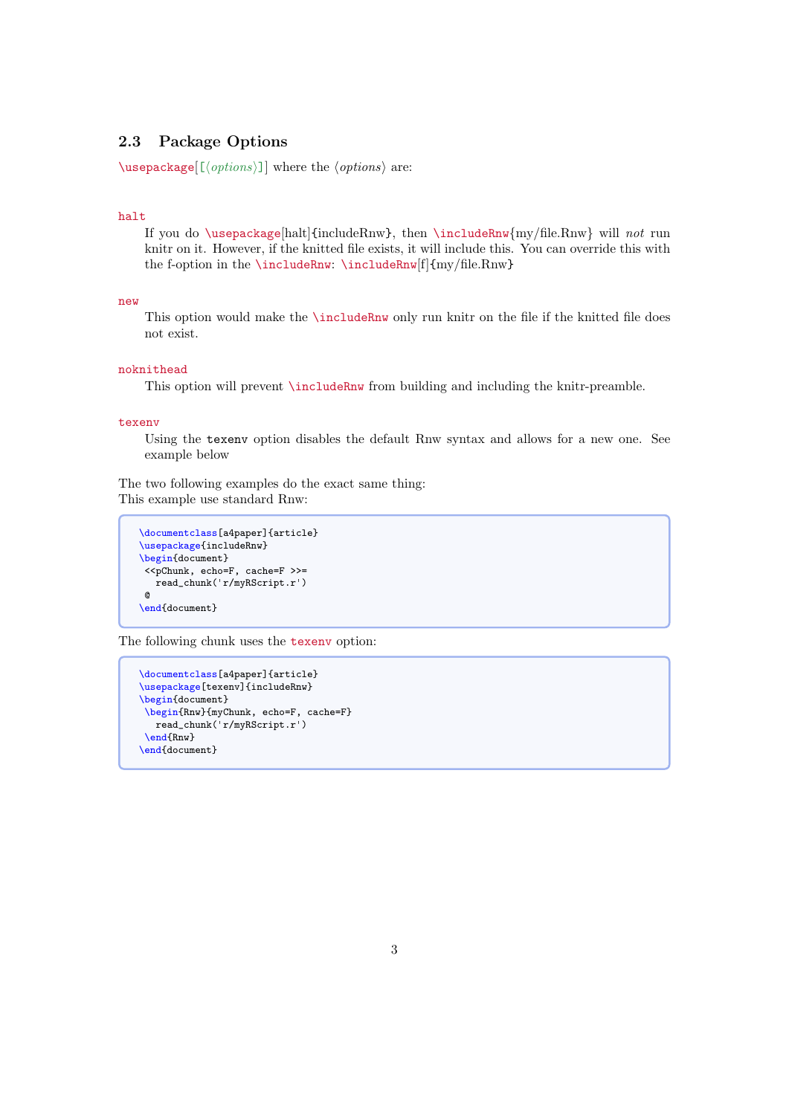## <span id="page-2-0"></span>2.3 Package Options

 $\text{vase}$ [[ $\langle options \rangle$ ]] where the  $\langle options \rangle$  are:

#### halt

If you do \usepackage[halt]{includeRnw}, then \includeRnw{my/file.Rnw} will not run knitr on it. However, if the knitted file exists, it will include this. You can override this with the f-option in the [\includeRnw](#page-1-4): \includeRnw[f]{my/file.Rnw}

#### new

This option would make the [\includeRnw](#page-1-4) only run knitr on the file if the knitted file does not exist.

#### noknithead

This option will prevent \includeRnw from building and including the knitr-preamble.

#### <span id="page-2-1"></span>texenv

Using the texenv option disables the default Rnw syntax and allows for a new one. See example below

The two following examples do the exact same thing: This example use standard Rnw:

```
\documentclass[a4paper]{article}
\usepackage{includeRnw}
\begin{document}
\ltpChunk, echo=F, cache=F >>=
  read_chunk('r/myRScript.r')
 @
\end{document}
```
The following chunk uses the [texenv](#page-2-1) option:

```
\documentclass[a4paper]{article}
\usepackage[texenv]{includeRnw}
\begin{document}
\begin{Rnw}{myChunk, echo=F, cache=F}
  read_chunk('r/myRScript.r')
 \end{Rnw}
\end{document}
```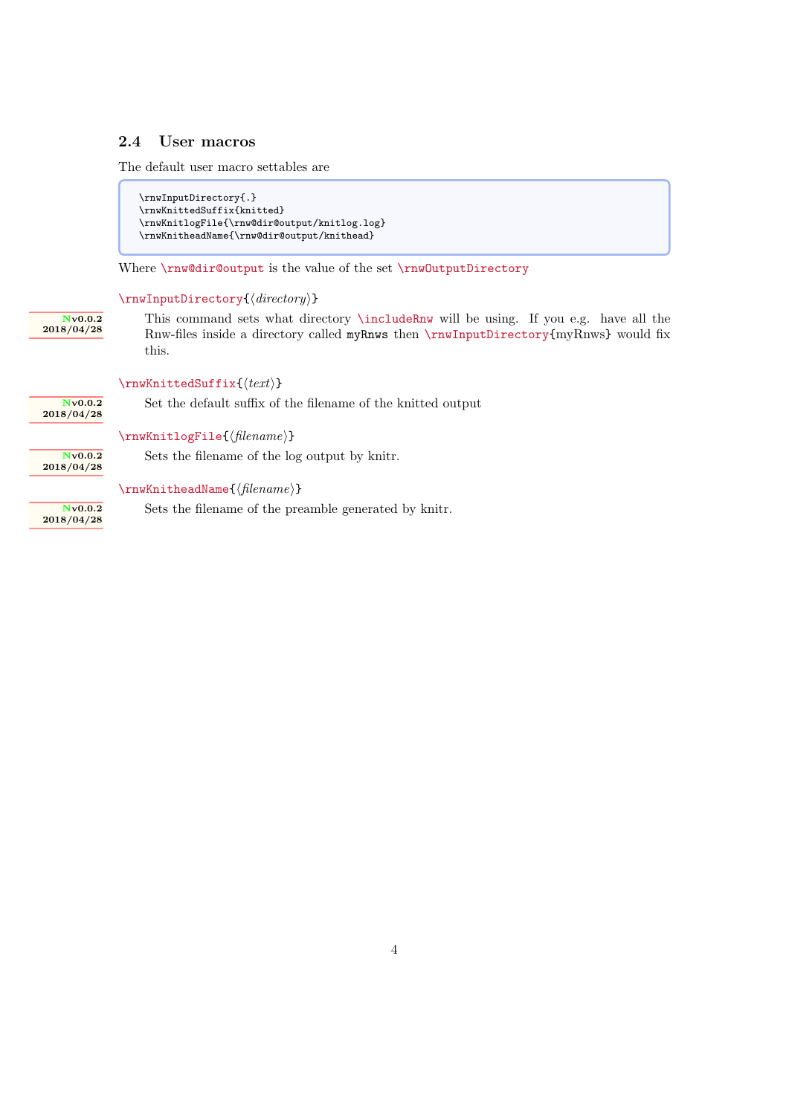## <span id="page-3-0"></span>2.4 User macros

The default user macro settables are

```
\rnwInputDirectory{.}
\rnwKnittedSuffix{knitted}
\rnwKnitlogFile{\rnw@dir@output/knitlog.log}
\rnwKnitheadName{\rnw@dir@output/knithead}
```
Where \rnw@dir@output is the value of the set \rnwOutputDirectory

#### <span id="page-3-1"></span> $\mathcal{L}$

Nv0.0.2 2018/04/28 This command sets what directory \includeRnw will be using. If you e.g. have all the Rnw-files inside a directory called myRnws then \rnwInputDirectory{myRnws} would fix this.

### <span id="page-3-4"></span> $\mathsf{trueKnittedSuffix}(\text{text})$

Set the default suffix of the filename of the knitted output

 $2018/04/28$ 

Nv0.0.2 2018/04/28

Nv0.0.2

### <span id="page-3-3"></span> $\mathsf{filename}\}$

Sets the filename of the log output by knitr.

#### <span id="page-3-2"></span> $\mathsf{H}$ irnwKnitheadName{ $\mathsf{H}$ lename}}

Sets the filename of the preamble generated by knitr.

Nv0.0.2 2018/04/28